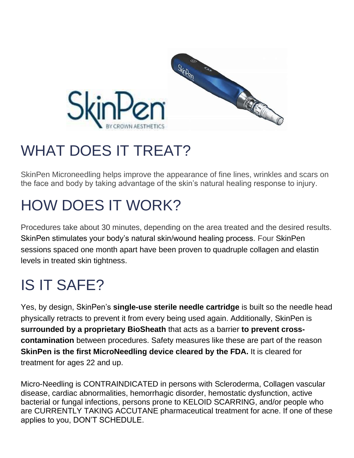

# WHAT DOES IT TREAT?

SkinPen Microneedling helps improve the appearance of fine lines, wrinkles and scars on the face and body by taking advantage of the skin's natural healing response to injury.

# HOW DOES IT WORK?

Procedures take about 30 minutes, depending on the area treated and the desired results. SkinPen stimulates your body's natural skin/wound healing process. Four SkinPen sessions spaced one month apart have been proven to quadruple collagen and elastin levels in treated skin tightness.

# IS IT SAFE?

Yes, by design, SkinPen's **single-use sterile needle cartridge** is built so the needle head physically retracts to prevent it from every being used again. Additionally, SkinPen is **surrounded by a proprietary BioSheath** that acts as a barrier **to prevent crosscontamination** between procedures. Safety measures like these are part of the reason **SkinPen is the first MicroNeedling device cleared by the FDA.** It is cleared for treatment for ages 22 and up.

Micro-Needling is CONTRAINDICATED in persons with Scleroderma, Collagen vascular disease, cardiac abnormalities, hemorrhagic disorder, hemostatic dysfunction, active bacterial or fungal infections, persons prone to KELOID SCARRING, and/or people who are CURRENTLY TAKING ACCUTANE pharmaceutical treatment for acne. If one of these applies to you, DON'T SCHEDULE.